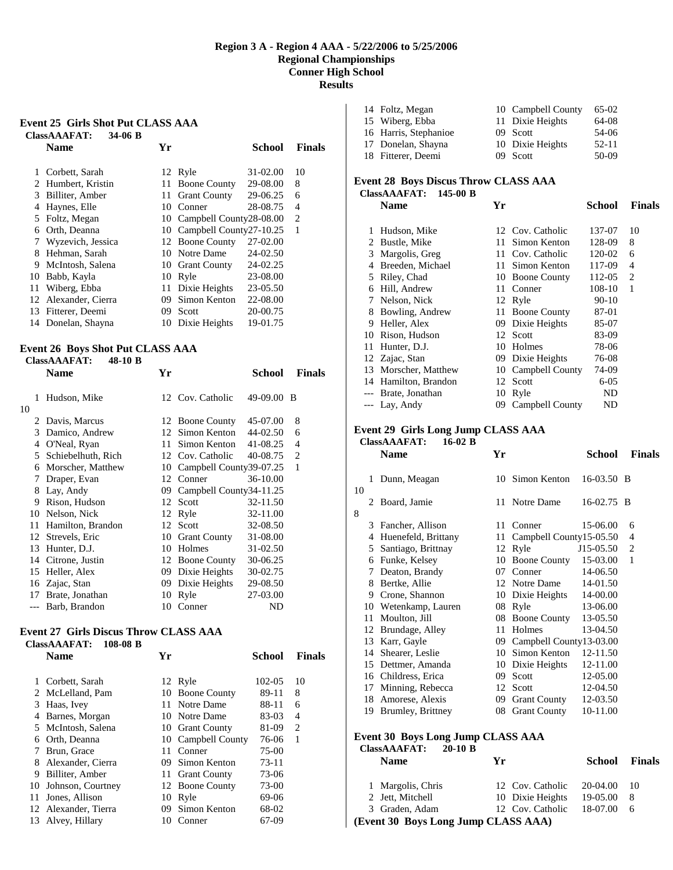### **Region 3 A - Region 4 AAA - 5/22/2006 to 5/25/2006 Regional Championships Conner High School Results**

#### **Event 25 Girls Shot Put CLASS AAA ClassAAAFAT: 34-06 B**

|    | <b>Name</b>        | Yг   |                            | School   | <b>Finals</b> |
|----|--------------------|------|----------------------------|----------|---------------|
|    | Corbett, Sarah     |      | 12 Ryle                    | 31-02.00 | 10            |
| 2. | Humbert, Kristin   | 11   | <b>Boone County</b>        | 29-08.00 | 8             |
| 3  | Billiter, Amber    | 11   | <b>Grant County</b>        | 29-06.25 | 6             |
| 4  | Haynes, Elle       | 10   | Conner                     | 28-08.75 | 4             |
|    | 5 Foltz, Megan     |      | 10 Campbell County28-08.00 |          | 2             |
| 6  | Orth, Deanna       | 10 - | Campbell County27-10.25    |          | 1             |
| 7  | Wyzevich, Jessica  | 12   | <b>Boone County</b>        | 27-02.00 |               |
| 8  | Hehman, Sarah      | 10   | Notre Dame                 | 24-02.50 |               |
| 9  | McIntosh, Salena   | 10   | <b>Grant County</b>        | 24-02.25 |               |
| 10 | Babb, Kayla        | 10   | Ryle                       | 23-08.00 |               |
| 11 | Wiberg, Ebba       | 11   | Dixie Heights              | 23-05.50 |               |
| 12 | Alexander, Cierra  | 09   | Simon Kenton               | 22-08.00 |               |
| 13 | Fitterer, Deemi    | 09   | Scott                      | 20-00.75 |               |
|    | 14 Donelan, Shayna | 10   | Dixie Heights              | 19-01.75 |               |

## **Event 26 Boys Shot Put CLASS AAA**

|         | <b>ClassAAAFAT:</b><br>48-10 B |    |                         |            |               |
|---------|--------------------------------|----|-------------------------|------------|---------------|
|         | Name                           | Yr |                         | School     | <b>Finals</b> |
| 1<br>10 | Hudson, Mike                   |    | 12 Cov. Catholic        | 49-09.00 B |               |
| 2       | Davis, Marcus                  |    | 12 Boone County         | 45-07.00   | 8             |
| 3       | Damico, Andrew                 | 12 | Simon Kenton            | 44-02.50   | 6             |
| 4       | O'Neal, Ryan                   | 11 | Simon Kenton            | 41-08.25   | 4             |
| 5       | Schiebelhuth, Rich             |    | 12 Cov. Catholic        | 40-08.75   | 2             |
| 6       | Morscher, Matthew              | 10 | Campbell County39-07.25 |            | 1             |
| 7       | Draper, Evan                   |    | 12 Conner               | 36-10.00   |               |
| 8       | Lay, Andy                      | 09 | Campbell County34-11.25 |            |               |
| 9       | Rison, Hudson                  | 12 | Scott                   | 32-11.50   |               |
| 10      | Nelson, Nick                   | 12 | Ryle                    | 32-11.00   |               |
| 11      | Hamilton, Brandon              |    | 12 Scott                | 32-08.50   |               |
| 12      | Strevels, Eric                 | 10 | <b>Grant County</b>     | 31-08.00   |               |
| 13      | Hunter, D.J.                   | 10 | Holmes                  | 31-02.50   |               |
| 14      | Citrone, Justin                | 12 | <b>Boone County</b>     | 30-06.25   |               |
| 15      | Heller, Alex                   | 09 | Dixie Heights           | 30-02.75   |               |
| 16      | Zajac, Stan                    | 09 | Dixie Heights           | 29-08.50   |               |
| 17      | Brate, Jonathan                | 10 | Ryle                    | 27-03.00   |               |
| $---$   | Barb, Brandon                  | 10 | Conner                  | ND         |               |

## **Event 27 Girls Discus Throw CLASS AAA**

## **ClassAAAFAT: 108-08 B**

| <b>Name</b>       | Yг                                                                                      |              | School                                                                                                                                           | <b>Finals</b> |
|-------------------|-----------------------------------------------------------------------------------------|--------------|--------------------------------------------------------------------------------------------------------------------------------------------------|---------------|
|                   |                                                                                         |              | 102-05                                                                                                                                           | 10            |
| McLelland, Pam    | 10                                                                                      |              | 89-11                                                                                                                                            | 8             |
| Haas, Ivey        | 11.                                                                                     |              | 88-11                                                                                                                                            | 6             |
| Barnes, Morgan    |                                                                                         |              | 83-03                                                                                                                                            | 4             |
|                   |                                                                                         |              | 81-09                                                                                                                                            | 2             |
| Orth, Deanna      |                                                                                         |              | 76-06                                                                                                                                            | 1             |
| Brun, Grace       | 11                                                                                      | Conner       | 75-00                                                                                                                                            |               |
| Alexander, Cierra | 09.                                                                                     | Simon Kenton | 73-11                                                                                                                                            |               |
| Billiter, Amber   | 11.                                                                                     |              | 73-06                                                                                                                                            |               |
| Johnson, Courtney |                                                                                         |              | 73-00                                                                                                                                            |               |
| Jones, Allison    | 10                                                                                      | Ryle         | 69-06                                                                                                                                            |               |
|                   | 09                                                                                      | Simon Kenton | 68-02                                                                                                                                            |               |
|                   | 10                                                                                      | Conner       | 67-09                                                                                                                                            |               |
| 2                 | Corbett, Sarah<br>5 McIntosh, Salena<br>10<br>12 Alexander, Tierra<br>13 Alvey, Hillary |              | 12 Ryle<br><b>Boone County</b><br>Notre Dame<br>10 Notre Dame<br>10 Grant County<br>10 Campbell County<br><b>Grant County</b><br>12 Boone County |               |

| 14 Foltz, Megan       | 10 Campbell County | 65-02     |
|-----------------------|--------------------|-----------|
| 15 Wiberg, Ebba       | 11 Dixie Heights   | 64-08     |
| 16 Harris, Stephanioe | 09 Scott           | 54-06     |
| 17 Donelan, Shayna    | 10 Dixie Heights   | $52 - 11$ |
| 18 Fitterer, Deemi    | 09 Scott           | $50-09$   |
|                       |                    |           |

## **Event 28 Boys Discus Throw CLASS AAA ClassAAAFAT: 145-00 B**

|                        | Name              | Yr |                     | School   | <b>Finals</b> |
|------------------------|-------------------|----|---------------------|----------|---------------|
| 1                      | Hudson, Mike      |    | 12 Cov. Catholic    | 137-07   | 10            |
| $\mathfrak{D}_{\cdot}$ | Bustle, Mike      | 11 | Simon Kenton        | 128-09   | 8             |
| 3                      | Margolis, Greg    | 11 | Cov. Catholic       | 120-02   | 6             |
| 4                      | Breeden, Michael  | 11 | Simon Kenton        | 117-09   | 4             |
| 5                      | Riley, Chad       | 10 | <b>Boone County</b> | 112-05   | 2             |
| 6                      | Hill, Andrew      | 11 | Conner              | 108-10   | 1             |
| 7                      | Nelson, Nick      |    | 12 Ryle             | $90-10$  |               |
| 8                      | Bowling, Andrew   | 11 | <b>Boone County</b> | 87-01    |               |
| 9                      | Heller, Alex      | 09 | Dixie Heights       | 85-07    |               |
| 10                     | Rison, Hudson     |    | 12 Scott            | 83-09    |               |
| 11                     | Hunter, D.J.      | 10 | Holmes              | 78-06    |               |
|                        | 12 Zajac, Stan    |    | 09 Dixie Heights    | 76-08    |               |
| 13                     | Morscher, Matthew |    | 10 Campbell County  | 74-09    |               |
| 14                     | Hamilton, Brandon | 12 | Scott               | $6 - 05$ |               |
| $---$                  | Brate, Jonathan   | 10 | Ryle                | ND       |               |
|                        | --- Lay, Andy     |    | 09 Campbell County  | ND       |               |
|                        |                   |    |                     |          |               |

#### **Event 29 Girls Long Jump CLASS AAA ClassAAAFAT: 16-02 B**

|    |    | <b>Name</b>          | Yr |                         | School       | <b>Finals</b>  |
|----|----|----------------------|----|-------------------------|--------------|----------------|
| 10 | 1  | Dunn, Meagan         |    | 10 Simon Kenton         | 16-03.50 B   |                |
| 8  | 2. | Board, Jamie         |    | 11 Notre Dame           | $16-02.75$ B |                |
|    | 3  | Fancher, Allison     |    | 11 Conner               | 15-06.00     | 6              |
|    | 4  | Huenefeld, Brittany  | 11 | Campbell County15-05.50 |              | 4              |
|    | 5  | Santiago, Brittnay   |    | 12 Ryle                 | $J15-05.50$  | $\overline{c}$ |
|    | 6  | Funke, Kelsey        | 10 | <b>Boone County</b>     | 15-03.00     | 1              |
|    | 7  | Deaton, Brandy       | 07 | Conner                  | 14-06.50     |                |
|    | 8  | Bertke, Allie        |    | 12 Notre Dame           | 14-01.50     |                |
|    | 9  | Crone, Shannon       | 10 | Dixie Heights           | 14-00.00     |                |
|    |    | 10 Wetenkamp, Lauren | 08 | Ryle                    | 13-06.00     |                |
|    | 11 | Moulton, Jill        |    | 08 Boone County         | 13-05.50     |                |
|    | 12 | Brundage, Alley      | 11 | Holmes                  | 13-04.50     |                |
|    | 13 | Karr, Gayle          | 09 | Campbell County13-03.00 |              |                |
|    | 14 | Shearer, Leslie      | 10 | Simon Kenton            | 12-11.50     |                |
|    | 15 | Dettmer, Amanda      |    | 10 Dixie Heights        | 12-11.00     |                |
|    |    | 16 Childress, Erica  | 09 | Scott                   | 12-05.00     |                |
|    | 17 | Minning, Rebecca     | 12 | Scott                   | 12-04.50     |                |
|    | 18 | Amorese, Alexis      |    | 09 Grant County         | 12-03.50     |                |
|    | 19 | Brumley, Brittney    |    | 08 Grant County         | 10-11.00     |                |
|    |    |                      |    |                         |              |                |

#### **Event 30 Boys Long Jump CLASS AAA ClassAAAFAT: 20-10 B**

| <b>Name</b>                         | Yг               | <b>School</b> | <b>Finals</b> |  |  |  |  |
|-------------------------------------|------------------|---------------|---------------|--|--|--|--|
| 1 Margolis, Chris                   | 12 Cov. Catholic | 20-04.00      | $\sqrt{10}$   |  |  |  |  |
| 2 Jett, Mitchell                    | 10 Dixie Heights | 19-05.00      |               |  |  |  |  |
| 3 Graden, Adam                      | 12 Cov. Catholic | 18-07.00      | - 6           |  |  |  |  |
| (Event 30 Boys Long Jump CLASS AAA) |                  |               |               |  |  |  |  |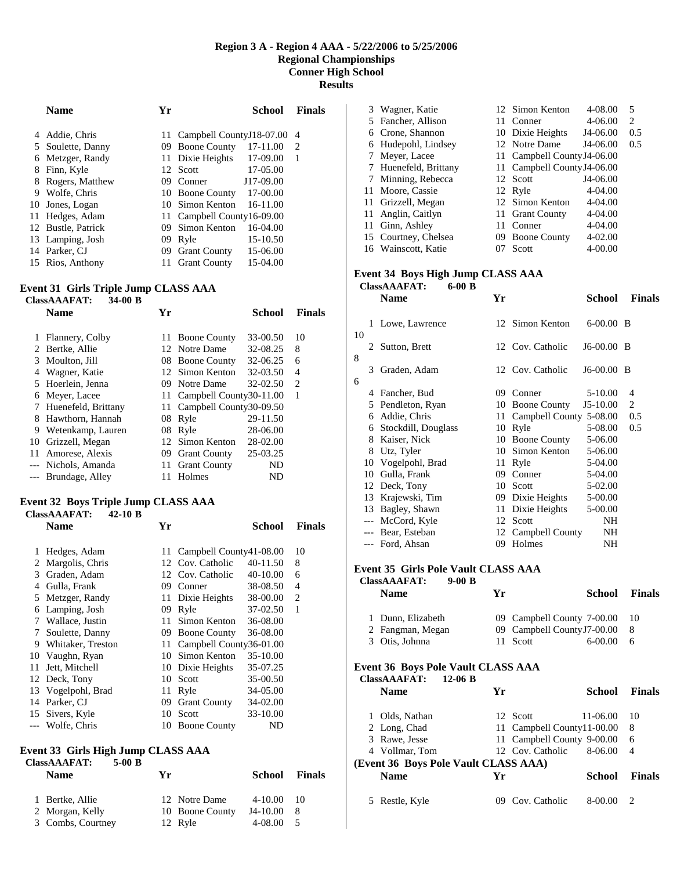#### **Region 3 A - Region 4 AAA - 5/22/2006 to 5/25/2006 Regional Championships Conner High School Results**

|    | <b>Name</b>        | Үr  |                              | School       | <b>Finals</b> |
|----|--------------------|-----|------------------------------|--------------|---------------|
| 4  | Addie, Chris       |     | 11 Campbell County J18-07.00 |              | 4             |
| 5  | Soulette, Danny    | 09  | <b>Boone County</b>          | 17-11.00     | 2             |
| 6  | Metzger, Randy     |     | 11 Dixie Heights             | 17-09.00     | 1             |
| 8  | Finn, Kyle         | 12. | <b>Scott</b>                 | 17-05.00     |               |
| 8  | Rogers, Matthew    | 09  | Conner                       | J17-09.00    |               |
| 9  | Wolfe, Chris       | 10  | <b>Boone County</b>          | 17-00.00     |               |
| 10 | Jones, Logan       | 10  | Simon Kenton                 | $16 - 11.00$ |               |
| 11 | Hedges, Adam       |     | 11 Campbell County16-09.00   |              |               |
|    | 12 Bustle, Patrick | 09  | Simon Kenton                 | $16-04.00$   |               |
|    | 13 Lamping, Josh   | 09  | Ryle                         | 15-10.50     |               |
|    | 14 Parker, CJ      | 09  | <b>Grant County</b>          | 15-06.00     |               |
|    | 15 Rios, Anthony   | 11  | <b>Grant County</b>          | 15-04.00     |               |

## **Event 31 Girls Triple Jump CLASS AAA**

## **ClassAAAFAT: 34-00 B**

|    | <b>Name</b>         | Yг  |                            | School   | <b>Finals</b>                 |
|----|---------------------|-----|----------------------------|----------|-------------------------------|
|    | Flannery, Colby     | 11. | <b>Boone County</b>        | 33-00.50 | 10                            |
|    | Bertke, Allie       |     | 12 Notre Dame              | 32-08.25 | 8                             |
|    | 3 Moulton, Jill     |     | 08 Boone County            | 32-06.25 | 6                             |
| 4  | Wagner, Katie       |     | 12 Simon Kenton            | 32-03.50 | 4                             |
|    | 5 Hoerlein, Jenna   | 09. | Notre Dame                 | 32-02.50 | $\mathfrak{D}_{\mathfrak{p}}$ |
| 6  | Meyer, Lacee        |     | 11 Campbell County30-11.00 |          | 1                             |
|    | Huenefeld, Brittany | 11  | Campbell County30-09.50    |          |                               |
| 8  | Hawthorn, Hannah    | 08  | Ryle                       | 29-11.50 |                               |
| 9  | Wetenkamp, Lauren   | 08  | Ryle                       | 28-06.00 |                               |
| 10 | Grizzell, Megan     |     | 12 Simon Kenton            | 28-02.00 |                               |
| 11 | Amorese, Alexis     | 09  | <b>Grant County</b>        | 25-03.25 |                               |
|    | --- Nichols, Amanda | 11  | <b>Grant County</b>        | ND       |                               |
|    | --- Brundage, Alley | 11  | Holmes                     | ND       |                               |

## **Event 32 Boys Triple Jump CLASS AAA**

# **ClassAAAFAT: 42-10 B**

|       | ClassAAAFAT:<br>42-10 в |    |                         |          |               |
|-------|-------------------------|----|-------------------------|----------|---------------|
|       | <b>Name</b>             | Yr |                         | School   | <b>Finals</b> |
| 1     | Hedges, Adam            | 11 | Campbell County41-08.00 |          | 10            |
| 2     | Margolis, Chris         | 12 | Cov. Catholic           | 40-11.50 | 8             |
| 3     | Graden, Adam            | 12 | Cov. Catholic           | 40-10.00 | 6             |
| 4     | Gulla, Frank            | 09 | Conner                  | 38-08.50 | 4             |
| 5     | Metzger, Randy          | 11 | Dixie Heights           | 38-00.00 | 2             |
| 6     | Lamping, Josh           | 09 | Ryle                    | 37-02.50 | 1             |
| 7     | Wallace, Justin         | 11 | Simon Kenton            | 36-08.00 |               |
| 7     | Soulette, Danny         | 09 | <b>Boone County</b>     | 36-08.00 |               |
| 9     | Whitaker, Treston       | 11 | Campbell County36-01.00 |          |               |
| 10    | Vaughn, Ryan            | 10 | Simon Kenton            | 35-10.00 |               |
| 11    | Jett, Mitchell          | 10 | Dixie Heights           | 35-07.25 |               |
| 12    | Deck, Tony              | 10 | Scott                   | 35-00.50 |               |
| 13    | Vogelpohl, Brad         | 11 | Ryle                    | 34-05.00 |               |
| 14    | Parker, CJ              | 09 | <b>Grant County</b>     | 34-02.00 |               |
| 15    | Sivers, Kyle            | 10 | Scott                   | 33-10.00 |               |
| $---$ | Wolfe, Chris            | 10 | <b>Boone County</b>     | ND       |               |
|       |                         |    |                         |          |               |

## **Event 33 Girls High Jump CLASS AAA ClassAAAFAT: 5-00 B**

| <b>Name</b>       | Yг | School                                      | <b>Finals</b> |
|-------------------|----|---------------------------------------------|---------------|
| 1 Bertke, Allie   |    | 4-10.00                                     | -10           |
| 2 Morgan, Kelly   |    | J4-10.00                                    |               |
| 3 Combs, Courtney |    | 4-08.00                                     | $-5$          |
|                   |    | 12 Notre Dame<br>10 Boone County<br>12 Ryle |               |

| 3 Wagner, Katie       |    | 12 Simon Kenton             | 4-08.00     | 5   |
|-----------------------|----|-----------------------------|-------------|-----|
| 5 Fancher, Allison    |    | 11 Conner                   | $4 - 06.00$ | 2   |
| 6 Crone, Shannon      |    | 10 Dixie Heights            | J4-06.00    | 0.5 |
| 6 Hudepohl, Lindsey   |    | 12 Notre Dame               | J4-06.00    | 0.5 |
| 7 Meyer, Lacee        |    | 11 Campbell County J4-06.00 |             |     |
| 7 Huenefeld, Brittany |    | 11 Campbell County J4-06.00 |             |     |
| 7 Minning, Rebecca    |    | 12 Scott                    | J4-06.00    |     |
| 11 Moore, Cassie      |    | 12 Ryle                     | 4-04.00     |     |
| 11 Grizzell, Megan    |    | 12 Simon Kenton             | $4 - 04.00$ |     |
| 11 Anglin, Caitlyn    |    | 11 Grant County             | $4 - 04.00$ |     |
| 11 Ginn, Ashley       |    | 11 Conner                   | 4-04.00     |     |
| 15 Courtney, Chelsea  | 09 | <b>Boone County</b>         | $4 - 02.00$ |     |
| 16 Wainscott, Katie   |    | Scott                       | $4 - 00.00$ |     |
|                       |    |                             |             |     |

#### **Event 34 Boys High Jump CLASS AAA ClassAAAFAT: 6-00 B**

|       | <b>Name</b>         | Yr                                                                                                                                         |               | School                                                                                                                                     | <b>Finals</b>                                                                                                            |
|-------|---------------------|--------------------------------------------------------------------------------------------------------------------------------------------|---------------|--------------------------------------------------------------------------------------------------------------------------------------------|--------------------------------------------------------------------------------------------------------------------------|
|       |                     |                                                                                                                                            |               |                                                                                                                                            |                                                                                                                          |
| 2     | Sutton, Brett       |                                                                                                                                            |               |                                                                                                                                            |                                                                                                                          |
| 3     | Graden, Adam        |                                                                                                                                            |               |                                                                                                                                            |                                                                                                                          |
| 4     |                     |                                                                                                                                            |               |                                                                                                                                            | 4                                                                                                                        |
| 5     |                     | 10                                                                                                                                         |               |                                                                                                                                            | 2                                                                                                                        |
| 6     |                     |                                                                                                                                            |               |                                                                                                                                            | 0.5                                                                                                                      |
| 6     | Stockdill, Douglass |                                                                                                                                            |               | 5-08.00                                                                                                                                    | 0.5                                                                                                                      |
| 8     | Kaiser, Nick        | 10                                                                                                                                         |               | 5-06.00                                                                                                                                    |                                                                                                                          |
| 8     | Utz, Tyler          | 10                                                                                                                                         | Simon Kenton  | 5-06.00                                                                                                                                    |                                                                                                                          |
| 10    |                     | 11                                                                                                                                         | Ryle          | 5-04.00                                                                                                                                    |                                                                                                                          |
| 10    | Gulla, Frank        | 09                                                                                                                                         | Conner        | 5-04.00                                                                                                                                    |                                                                                                                          |
| 12    | Deck, Tony          | 10                                                                                                                                         | Scott         | 5-02.00                                                                                                                                    |                                                                                                                          |
| 13    | Krajewski, Tim      | 09                                                                                                                                         | Dixie Heights | 5-00.00                                                                                                                                    |                                                                                                                          |
| 13    | Bagley, Shawn       | 11                                                                                                                                         | Dixie Heights | 5-00.00                                                                                                                                    |                                                                                                                          |
| $---$ |                     | 12                                                                                                                                         | Scott         | NΗ                                                                                                                                         |                                                                                                                          |
| $---$ |                     |                                                                                                                                            |               | NH                                                                                                                                         |                                                                                                                          |
|       |                     |                                                                                                                                            |               | NH                                                                                                                                         |                                                                                                                          |
|       |                     | 1 Lowe, Lawrence<br>Fancher, Bud<br>Pendleton, Ryan<br>Addie, Chris<br>Vogelpohl, Brad<br>McCord, Kyle<br>Bear, Esteban<br>--- Ford, Ahsan |               | 12 Simon Kenton<br>12 Cov. Catholic<br>12 Cov. Catholic<br>09 Conner<br><b>Boone County</b><br>10 Ryle<br><b>Boone County</b><br>09 Holmes | $6-00.00$ B<br>$J6-00.00$ B<br>$J6-00.00$ B<br>5-10.00<br>$J5-10.00$<br>11 Campbell County 5-08.00<br>12 Campbell County |

## **Event 35 Girls Pole Vault CLASS AAA**

| <b>ClassAAAFAT:</b><br>$9-00B$<br><b>Name</b> | Yг | School                      | <b>Finals</b> |
|-----------------------------------------------|----|-----------------------------|---------------|
| 1 Dunn, Elizabeth                             |    | 09 Campbell County 7-00.00  | -10           |
| 2 Fangman, Megan                              |    | 09 Campbell County J7-00.00 | 8             |
| 3 Otis, Johnna                                |    | 11 Scott<br>$6-00.00$       | 6             |

## **Event 36 Boys Pole Vault CLASS AAA**

| <b>ClassAAAFAT:</b><br><b>Name</b> | $12-06$ B<br>Yr                      |                            | School   | <b>Finals</b> |
|------------------------------------|--------------------------------------|----------------------------|----------|---------------|
| Olds, Nathan                       |                                      | 12 Scott                   | 11-06.00 | 10            |
| 2 Long, Chad                       |                                      | 11 Campbell County11-00.00 |          | 8             |
| 3 Rawe, Jesse                      |                                      | 11 Campbell County 9-00.00 |          | 6             |
| 4 Vollmar, Tom                     |                                      | 12 Cov. Catholic           | 8-06.00  | 4             |
|                                    | (Event 36 Boys Pole Vault CLASS AAA) |                            |          |               |
| <b>Name</b>                        | Yг                                   |                            | School   | <b>Finals</b> |
| Restle, Kyle                       |                                      | Cov. Catholic              | 8-00.00  |               |